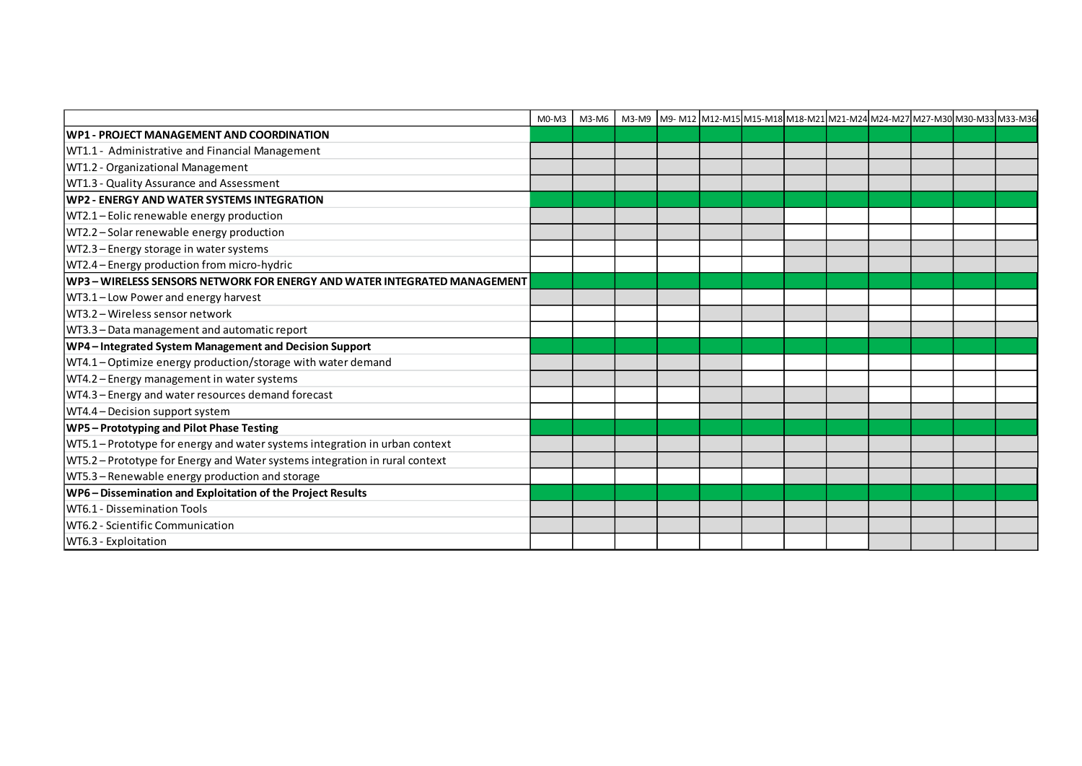|                                                                             | $M0-M3$ | M3-M6 |  |  |  |  | M3-M9 M9- M12 M12-M15 M15-M18 M18-M21 M21-M24 M24-M27 M27-M30 M30-M33 M33-M36 |  |
|-----------------------------------------------------------------------------|---------|-------|--|--|--|--|-------------------------------------------------------------------------------|--|
| WP1 - PROJECT MANAGEMENT AND COORDINATION                                   |         |       |  |  |  |  |                                                                               |  |
| WT1.1 - Administrative and Financial Management                             |         |       |  |  |  |  |                                                                               |  |
| WT1.2 - Organizational Management                                           |         |       |  |  |  |  |                                                                               |  |
| WT1.3 - Quality Assurance and Assessment                                    |         |       |  |  |  |  |                                                                               |  |
| WP2 - ENERGY AND WATER SYSTEMS INTEGRATION                                  |         |       |  |  |  |  |                                                                               |  |
| WT2.1 - Eolic renewable energy production                                   |         |       |  |  |  |  |                                                                               |  |
| WT2.2 - Solar renewable energy production                                   |         |       |  |  |  |  |                                                                               |  |
| WT2.3 - Energy storage in water systems                                     |         |       |  |  |  |  |                                                                               |  |
| WT2.4 - Energy production from micro-hydric                                 |         |       |  |  |  |  |                                                                               |  |
| WP3 – WIRELESS SENSORS NETWORK FOR ENERGY AND WATER INTEGRATED MANAGEMENT   |         |       |  |  |  |  |                                                                               |  |
| WT3.1-Low Power and energy harvest                                          |         |       |  |  |  |  |                                                                               |  |
| WT3.2 - Wireless sensor network                                             |         |       |  |  |  |  |                                                                               |  |
| WT3.3 - Data management and automatic report                                |         |       |  |  |  |  |                                                                               |  |
| <b>WP4-Integrated System Management and Decision Support</b>                |         |       |  |  |  |  |                                                                               |  |
| WT4.1 - Optimize energy production/storage with water demand                |         |       |  |  |  |  |                                                                               |  |
| WT4.2 - Energy management in water systems                                  |         |       |  |  |  |  |                                                                               |  |
| WT4.3 - Energy and water resources demand forecast                          |         |       |  |  |  |  |                                                                               |  |
| WT4.4 - Decision support system                                             |         |       |  |  |  |  |                                                                               |  |
| <b>WP5</b> – Prototyping and Pilot Phase Testing                            |         |       |  |  |  |  |                                                                               |  |
| WT5.1 – Prototype for energy and water systems integration in urban context |         |       |  |  |  |  |                                                                               |  |
| WT5.2 – Prototype for Energy and Water systems integration in rural context |         |       |  |  |  |  |                                                                               |  |
| WT5.3 - Renewable energy production and storage                             |         |       |  |  |  |  |                                                                               |  |
| WP6-Dissemination and Exploitation of the Project Results                   |         |       |  |  |  |  |                                                                               |  |
| WT6.1 - Dissemination Tools                                                 |         |       |  |  |  |  |                                                                               |  |
| WT6.2 - Scientific Communication                                            |         |       |  |  |  |  |                                                                               |  |
| WT6.3 - Exploitation                                                        |         |       |  |  |  |  |                                                                               |  |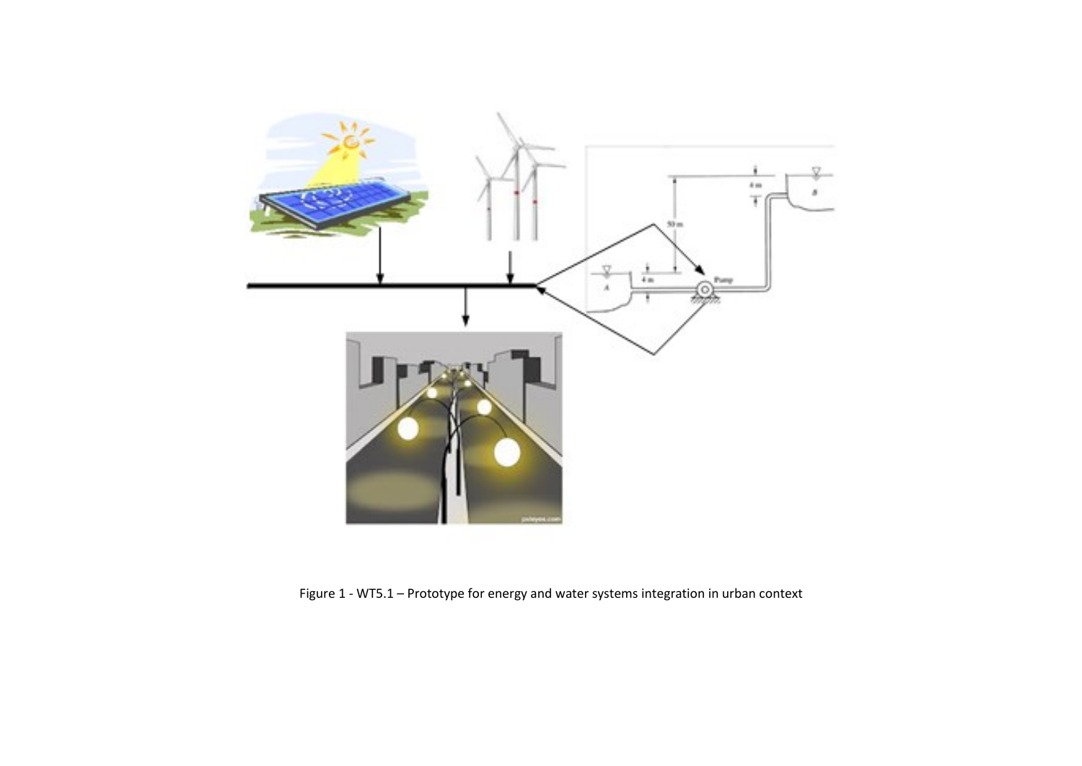

Figure 1 - WT5.1 – Prototype for energy and water systems integration in urban context